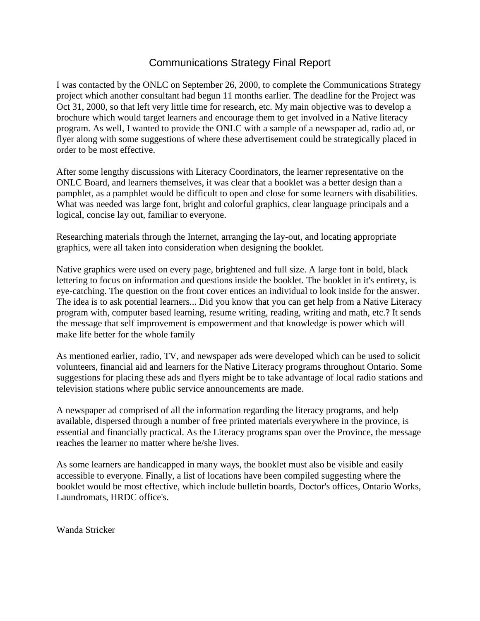# Communications Strategy Final Report

I was contacted by the ONLC on September 26, 2000, to complete the Communications Strategy project which another consultant had begun 11 months earlier. The deadline for the Project was Oct 31, 2000, so that left very little time for research, etc. My main objective was to develop a brochure which would target learners and encourage them to get involved in a Native literacy program. As well, I wanted to provide the ONLC with a sample of a newspaper ad, radio ad, or flyer along with some suggestions of where these advertisement could be strategically placed in order to be most effective.

After some lengthy discussions with Literacy Coordinators, the learner representative on the ONLC Board, and learners themselves, it was clear that a booklet was a better design than a pamphlet, as a pamphlet would be difficult to open and close for some learners with disabilities. What was needed was large font, bright and colorful graphics, clear language principals and a logical, concise lay out, familiar to everyone.

Researching materials through the Internet, arranging the lay-out, and locating appropriate graphics, were all taken into consideration when designing the booklet.

Native graphics were used on every page, brightened and full size. A large font in bold, black lettering to focus on information and questions inside the booklet. The booklet in it's entirety, is eye-catching. The question on the front cover entices an individual to look inside for the answer. The idea is to ask potential learners... Did you know that you can get help from a Native Literacy program with, computer based learning, resume writing, reading, writing and math, etc.? It sends the message that self improvement is empowerment and that knowledge is power which will make life better for the whole family

As mentioned earlier, radio, TV, and newspaper ads were developed which can be used to solicit volunteers, financial aid and learners for the Native Literacy programs throughout Ontario. Some suggestions for placing these ads and flyers might be to take advantage of local radio stations and television stations where public service announcements are made.

A newspaper ad comprised of all the information regarding the literacy programs, and help available, dispersed through a number of free printed materials everywhere in the province, is essential and financially practical. As the Literacy programs span over the Province, the message reaches the learner no matter where he/she lives.

As some learners are handicapped in many ways, the booklet must also be visible and easily accessible to everyone. Finally, a list of locations have been compiled suggesting where the booklet would be most effective, which include bulletin boards, Doctor's offices, Ontario Works, Laundromats, HRDC office's.

Wanda Stricker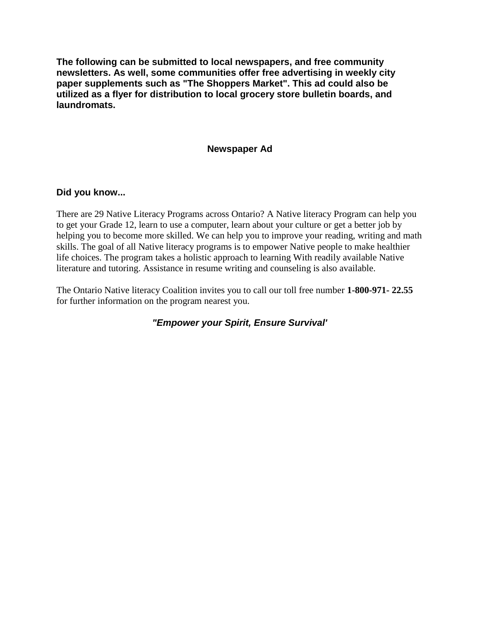**The following can be submitted to local newspapers, and free community newsletters. As well, some communities offer free advertising in weekly city paper supplements such as "The Shoppers Market". This ad could also be utilized as a flyer for distribution to local grocery store bulletin boards, and laundromats.**

### **Newspaper Ad**

### **Did you know...**

There are 29 Native Literacy Programs across Ontario? A Native literacy Program can help you to get your Grade 12, learn to use a computer, learn about your culture or get a better job by helping you to become more skilled. We can help you to improve your reading, writing and math skills. The goal of all Native literacy programs is to empower Native people to make healthier life choices. The program takes a holistic approach to learning With readily available Native literature and tutoring. Assistance in resume writing and counseling is also available.

The Ontario Native literacy Coalition invites you to call our toll free number **1-800-971- 22.55**  for further information on the program nearest you.

*"Empower your Spirit, Ensure Survival'*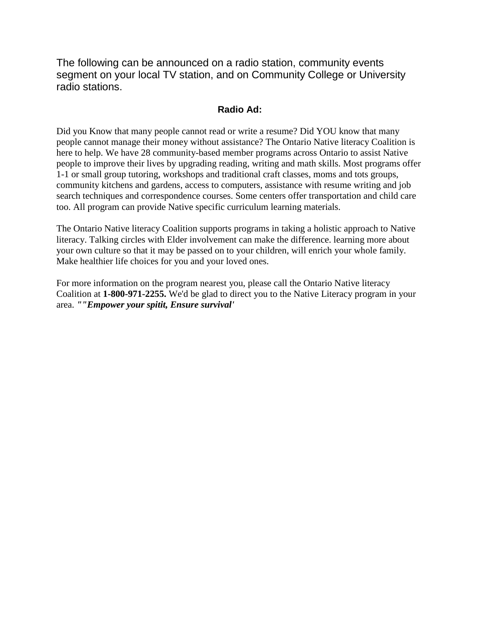The following can be announced on a radio station, community events segment on your local TV station, and on Community College or University radio stations.

## **Radio Ad:**

Did you Know that many people cannot read or write a resume? Did YOU know that many people cannot manage their money without assistance? The Ontario Native literacy Coalition is here to help. We have 28 community-based member programs across Ontario to assist Native people to improve their lives by upgrading reading, writing and math skills. Most programs offer 1-1 or small group tutoring, workshops and traditional craft classes, moms and tots groups, community kitchens and gardens, access to computers, assistance with resume writing and job search techniques and correspondence courses. Some centers offer transportation and child care too. All program can provide Native specific curriculum learning materials.

The Ontario Native literacy Coalition supports programs in taking a holistic approach to Native literacy. Talking circles with Elder involvement can make the difference. learning more about your own culture so that it may be passed on to your children, will enrich your whole family. Make healthier life choices for you and your loved ones.

For more information on the program nearest you, please call the Ontario Native literacy Coalition at **1-800-971-2255.** We'd be glad to direct you to the Native Literacy program in your area. *""Empower your spitit, Ensure survival'*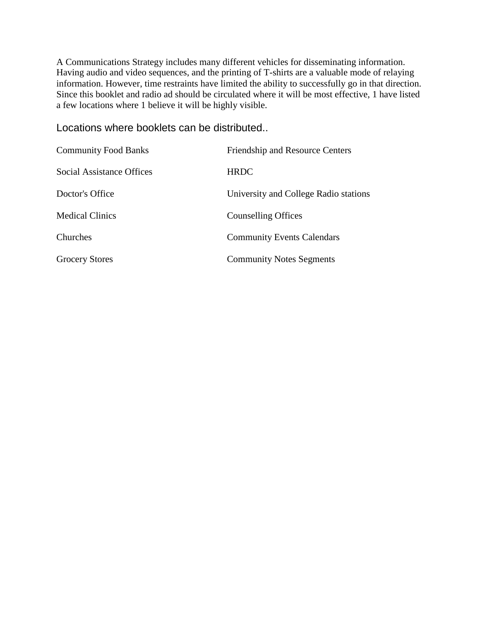A Communications Strategy includes many different vehicles for disseminating information. Having audio and video sequences, and the printing of T-shirts are a valuable mode of relaying information. However, time restraints have limited the ability to successfully go in that direction. Since this booklet and radio ad should be circulated where it will be most effective, 1 have listed a few locations where 1 believe it will be highly visible.

Locations where booklets can be distributed..

| <b>Community Food Banks</b> | <b>Friendship and Resource Centers</b> |
|-----------------------------|----------------------------------------|
| Social Assistance Offices   | <b>HRDC</b>                            |
| Doctor's Office             | University and College Radio stations  |
| <b>Medical Clinics</b>      | <b>Counselling Offices</b>             |
| Churches                    | <b>Community Events Calendars</b>      |
| <b>Grocery Stores</b>       | <b>Community Notes Segments</b>        |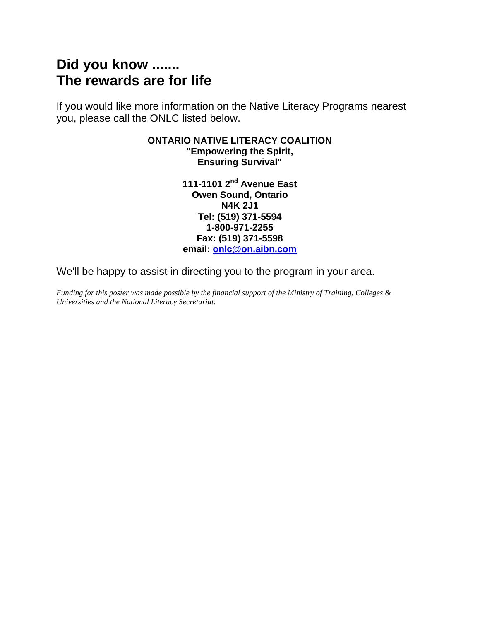# **Did you know ....... The rewards are for life**

If you would like more information on the Native Literacy Programs nearest you, please call the ONLC listed below.

#### **ONTARIO NATIVE LITERACY COALITION "Empowering the Spirit, Ensuring Survival"**

**111-1101 2nd Avenue East Owen Sound, Ontario N4K 2J1 Tel: (519) 371-5594 1-800-971-2255 Fax: (519) 371-5598 email: [onlc@on.aibn.com](mailto:onlc@on.aibn.com)**

We'll be happy to assist in directing you to the program in your area.

*Funding for this poster was made possible by the financial support of the Ministry of Training, Colleges & Universities and the National Literacy Secretariat.*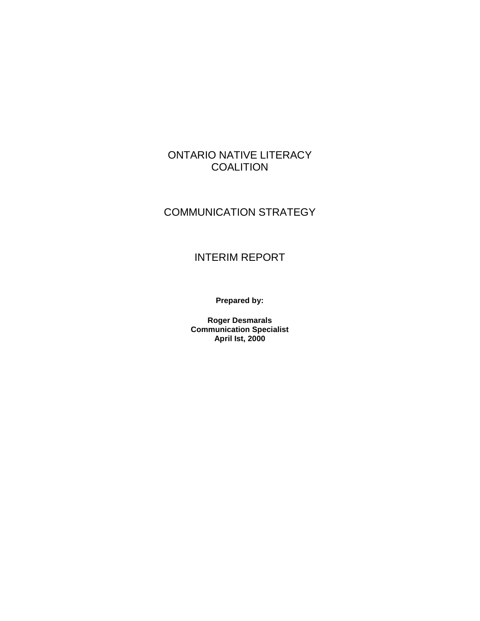# ONTARIO NATIVE LITERACY **COALITION**

# COMMUNICATION STRATEGY

# INTERIM REPORT

**Prepared by:**

**Roger Desmarals Communication Specialist April Ist, 2000**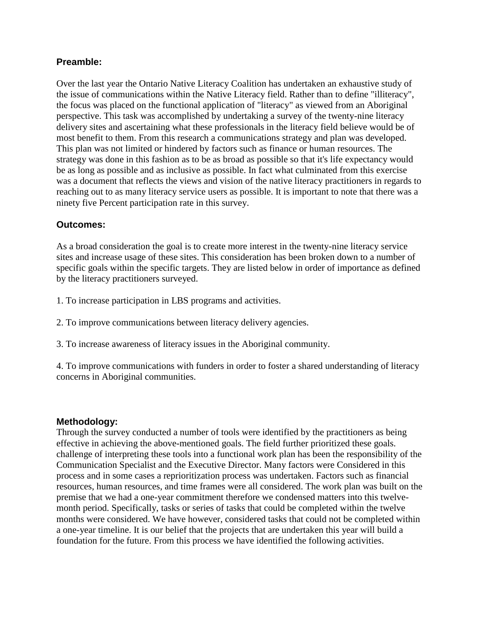### **Preamble:**

Over the last year the Ontario Native Literacy Coalition has undertaken an exhaustive study of the issue of communications within the Native Literacy field. Rather than to define "illiteracy", the focus was placed on the functional application of "literacy" as viewed from an Aboriginal perspective. This task was accomplished by undertaking a survey of the twenty-nine literacy delivery sites and ascertaining what these professionals in the literacy field believe would be of most benefit to them. From this research a communications strategy and plan was developed. This plan was not limited or hindered by factors such as finance or human resources. The strategy was done in this fashion as to be as broad as possible so that it's life expectancy would be as long as possible and as inclusive as possible. In fact what culminated from this exercise was a document that reflects the views and vision of the native literacy practitioners in regards to reaching out to as many literacy service users as possible. It is important to note that there was a ninety five Percent participation rate in this survey.

### **Outcomes:**

As a broad consideration the goal is to create more interest in the twenty-nine literacy service sites and increase usage of these sites. This consideration has been broken down to a number of specific goals within the specific targets. They are listed below in order of importance as defined by the literacy practitioners surveyed.

1. To increase participation in LBS programs and activities.

2. To improve communications between literacy delivery agencies.

3. To increase awareness of literacy issues in the Aboriginal community.

4. To improve communications with funders in order to foster a shared understanding of literacy concerns in Aboriginal communities.

### **Methodology:**

Through the survey conducted a number of tools were identified by the practitioners as being effective in achieving the above-mentioned goals. The field further prioritized these goals. challenge of interpreting these tools into a functional work plan has been the responsibility of the Communication Specialist and the Executive Director. Many factors were Considered in this process and in some cases a reprioritization process was undertaken. Factors such as financial resources, human resources, and time frames were all considered. The work plan was built on the premise that we had a one-year commitment therefore we condensed matters into this twelvemonth period. Specifically, tasks or series of tasks that could be completed within the twelve months were considered. We have however, considered tasks that could not be completed within a one-year timeline. It is our belief that the projects that are undertaken this year will build a foundation for the future. From this process we have identified the following activities.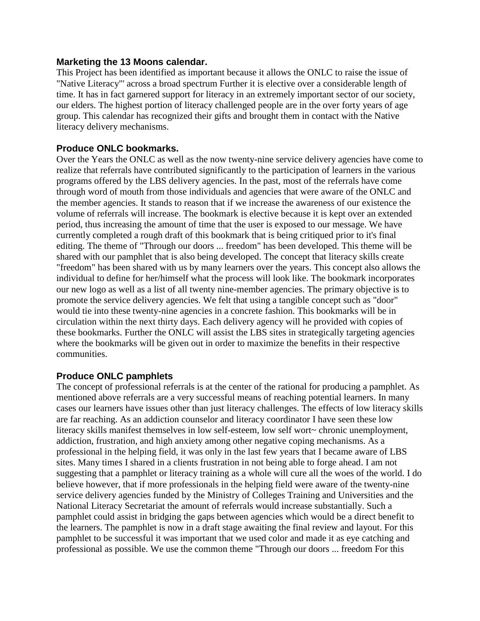#### **Marketing the 13 Moons calendar.**

This Project has been identified as important because it allows the ONLC to raise the issue of "Native Literacy"' across a broad spectrum Further it is elective over a considerable length of time. It has in fact garnered support for literacy in an extremely important sector of our society, our elders. The highest portion of literacy challenged people are in the over forty years of age group. This calendar has recognized their gifts and brought them in contact with the Native literacy delivery mechanisms.

#### **Produce ONLC bookmarks.**

Over the Years the ONLC as well as the now twenty-nine service delivery agencies have come to realize that referrals have contributed significantly to the participation of learners in the various programs offered by the LBS delivery agencies. In the past, most of the referrals have come through word of mouth from those individuals and agencies that were aware of the ONLC and the member agencies. It stands to reason that if we increase the awareness of our existence the volume of referrals will increase. The bookmark is elective because it is kept over an extended period, thus increasing the amount of time that the user is exposed to our message. We have currently completed a rough draft of this bookmark that is being critiqued prior to it's final editing. The theme of "Through our doors ... freedom" has been developed. This theme will be shared with our pamphlet that is also being developed. The concept that literacy skills create "freedom" has been shared with us by many learners over the years. This concept also allows the individual to define for her/himself what the process will look like. The bookmark incorporates our new logo as well as a list of all twenty nine-member agencies. The primary objective is to promote the service delivery agencies. We felt that using a tangible concept such as "door" would tie into these twenty-nine agencies in a concrete fashion. This bookmarks will be in circulation within the next thirty days. Each delivery agency will he provided with copies of these bookmarks. Further the ONLC will assist the LBS sites in strategically targeting agencies where the bookmarks will be given out in order to maximize the benefits in their respective communities.

### **Produce ONLC pamphlets**

The concept of professional referrals is at the center of the rational for producing a pamphlet. As mentioned above referrals are a very successful means of reaching potential learners. In many cases our learners have issues other than just literacy challenges. The effects of low literacy skills are far reaching. As an addiction counselor and literacy coordinator I have seen these low literacy skills manifest themselves in low self-esteem, low self wort~ chronic unemployment, addiction, frustration, and high anxiety among other negative coping mechanisms. As a professional in the helping field, it was only in the last few years that I became aware of LBS sites. Many times I shared in a clients frustration in not being able to forge ahead. I am not suggesting that a pamphlet or literacy training as a whole will cure all the woes of the world. I do believe however, that if more professionals in the helping field were aware of the twenty-nine service delivery agencies funded by the Ministry of Colleges Training and Universities and the National Literacy Secretariat the amount of referrals would increase substantially. Such a pamphlet could assist in bridging the gaps between agencies which would be a direct benefit to the learners. The pamphlet is now in a draft stage awaiting the final review and layout. For this pamphlet to be successful it was important that we used color and made it as eye catching and professional as possible. We use the common theme "Through our doors ... freedom For this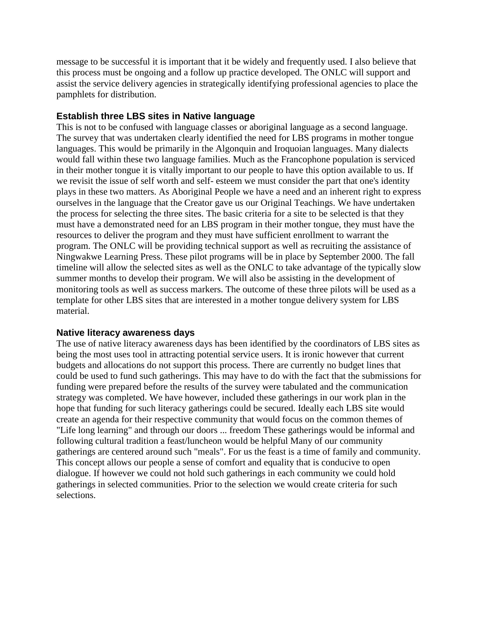message to be successful it is important that it be widely and frequently used. I also believe that this process must be ongoing and a follow up practice developed. The ONLC will support and assist the service delivery agencies in strategically identifying professional agencies to place the pamphlets for distribution.

#### **Establish three LBS sites in Native language**

This is not to be confused with language classes or aboriginal language as a second language. The survey that was undertaken clearly identified the need for LBS programs in mother tongue languages. This would be primarily in the Algonquin and Iroquoian languages. Many dialects would fall within these two language families. Much as the Francophone population is serviced in their mother tongue it is vitally important to our people to have this option available to us. If we revisit the issue of self worth and self- esteem we must consider the part that one's identity plays in these two matters. As Aboriginal People we have a need and an inherent right to express ourselves in the language that the Creator gave us our Original Teachings. We have undertaken the process for selecting the three sites. The basic criteria for a site to be selected is that they must have a demonstrated need for an LBS program in their mother tongue, they must have the resources to deliver the program and they must have sufficient enrollment to warrant the program. The ONLC will be providing technical support as well as recruiting the assistance of Ningwakwe Learning Press. These pilot programs will be in place by September 2000. The fall timeline will allow the selected sites as well as the ONLC to take advantage of the typically slow summer months to develop their program. We will also be assisting in the development of monitoring tools as well as success markers. The outcome of these three pilots will be used as a template for other LBS sites that are interested in a mother tongue delivery system for LBS material.

#### **Native literacy awareness days**

The use of native literacy awareness days has been identified by the coordinators of LBS sites as being the most uses tool in attracting potential service users. It is ironic however that current budgets and allocations do not support this process. There are currently no budget lines that could be used to fund such gatherings. This may have to do with the fact that the submissions for funding were prepared before the results of the survey were tabulated and the communication strategy was completed. We have however, included these gatherings in our work plan in the hope that funding for such literacy gatherings could be secured. Ideally each LBS site would create an agenda for their respective community that would focus on the common themes of "Life long learning" and through our doors ... freedom These gatherings would be informal and following cultural tradition a feast/luncheon would be helpful Many of our community gatherings are centered around such "meals". For us the feast is a time of family and community. This concept allows our people a sense of comfort and equality that is conducive to open dialogue. If however we could not hold such gatherings in each community we could hold gatherings in selected communities. Prior to the selection we would create criteria for such selections.